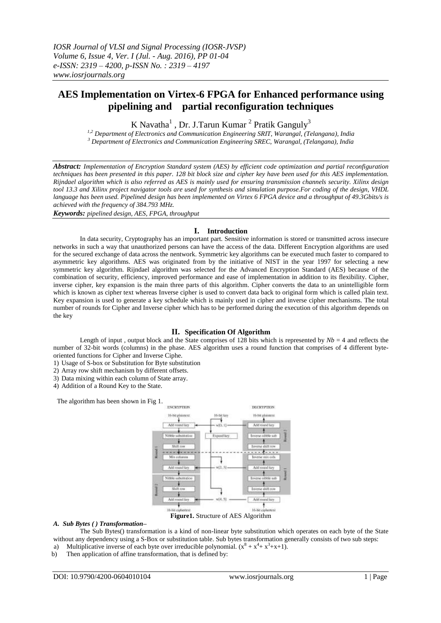# **AES Implementation on Virtex-6 FPGA for Enhanced performance using pipelining and partial reconfiguration techniques**

K Navatha<sup>1</sup>, Dr. J.Tarun Kumar<sup>2</sup> Pratik Ganguly<sup>3</sup>

*1,2 Department of Electronics and Communication Engineering SRIT, Warangal, (Telangana), India <sup>3</sup> Department of Electronics and Communication Engineering SREC, Warangal, (Telangana), India*

*Abstract: Implementation of Encryption Standard system (AES) by efficient code optimization and partial reconfiguration techniques has been presented in this paper. 128 bit block size and cipher key have been used for this AES implementation. Rijndael algorithm which is also referred as AES is mainly used for ensuring transmission channels security. Xilinx design tool 13.3 and Xilinx project navigator tools are used for synthesis and simulation purpose.For coding of the design, VHDL language has been used. Pipelined design has been implemented on Virtex 6 FPGA device and a throughput of 49.3Gbits/s is achieved with the frequency of 384.793 MHz.*

*Keywords: pipelined design, AES, FPGA, throughput*

## **I. Introduction**

In data security, Cryptography has an important part. Sensitive information is stored or transmitted across insecure networks in such a way that unauthorized persons can have the access of the data. Different Encryption algorithms are used for the secured exchange of data across the nentwork. Symmetric key algorithms can be executed much faster to compared to asymmetric key algorithms. AES was originated from by the initiative of NIST in the year 1997 for selecting a new symmetric key algorithm. Rijndael algorithm was selected for the Advanced Encryption Standard (AES) because of the combination of security, efficiency, improved performance and ease of implementation in addition to its flexibility. Cipher, inverse cipher, key expansion is the main three parts of this algorithm. Cipher converts the data to an unintelligible form which is known as cipher text whereas Inverse cipher is used to convert data back to original form which is called plain text. Key expansion is used to generate a key schedule which is mainly used in cipher and inverse cipher mechanisms. The total number of rounds for Cipher and Inverse cipher which has to be performed during the execution of this algorithm depends on the key

# **II. Specification Of Algorithm**

Length of input, output block and the State comprises of  $128$  bits which is represented by  $Nb = 4$  and reflects the number of 32-bit words (columns) in the phase. AES algorithm uses a round function that comprises of 4 different byteoriented functions for Cipher and Inverse Ciphe.

1) Usage of S-box or Substitution for Byte substitution

2) Array row shift mechanism by different offsets.

3) Data mixing within each column of State array.

4) Addition of a Round Key to the State.

The algorithm has been shown in Fig 1.



#### *A. Sub Bytes ( ) Transformation–*

The Sub Bytes() transformation is a kind of non-linear byte substitution which operates on each byte of the State without any dependency using a S-Box or substitution table. Sub bytes transformation generally consists of two sub steps:

a) Multiplicative inverse of each byte over irreducible polynomial.  $(x^8 + x^4 + x^3 + x + 1)$ .

b) Then application of affine transformation, that is defined by: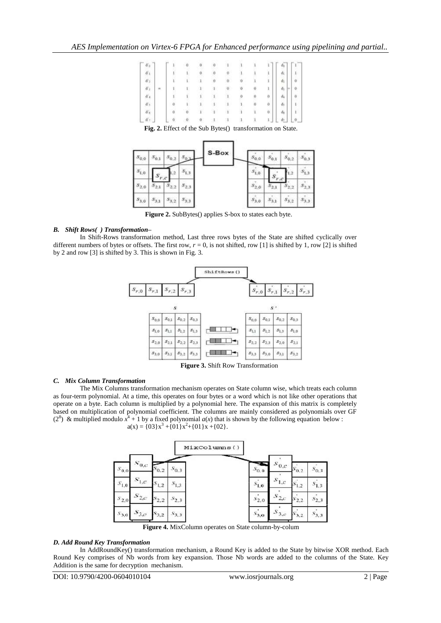



**Figure 2.** SubBytes() applies S-box to states each byte.

## *B. Shift Rows( ) Transformation–*

In Shift-Rows transformation method, Last three rows bytes of the State are shifted cyclically over different numbers of bytes or offsets. The first row,  $r = 0$ , is not shifted, row [1] is shifted by 1, row [2] is shifted by 2 and row [3] is shifted by 3. This is shown in Fig. 3.



**Figure 3.** Shift Row Transformation

# *C. Mix Column Transformation*

The Mix Columns transformation mechanism operates on State column wise, which treats each column as four-term polynomial. At a time, this operates on four bytes or a word which is not like other operations that operate on a byte. Each column is multiplied by a polynomial here. The expansion of this matrix is completely based on multiplication of polynomial coefficient. The columns are mainly considered as polynomials over GF  $(2^8)$  & multiplied modulo  $x^4 + 1$  by a fixed polynomial  $a(x)$  that is shown by the following equation below :  $a(x) = \{03\}x^3 + \{01\}x^2 + \{01\}x + \{02\}.$ 

|                                  | MixColumns()           |           |                                     |
|----------------------------------|------------------------|-----------|-------------------------------------|
| $\cdot$ $S_{0,c}$ .<br>$S_{0,0}$ | $S_{0,3}$<br>$^{50.2}$ | $S_{0,0}$ | $S_{0,c}$<br>$S_{0,2}$<br>$S_{0,3}$ |
| $S_{1,c}$<br>$S_{1,0}$           | $S_{1,3}$<br>$^{3}1,2$ | $S_{1,0}$ | $s_{1,c}$<br>$s_{1,3}$<br>1.2       |
| $S_{2,c}$<br>2,0                 | 2.3<br>2,2             | $S_{2,0}$ | S<br>2,c<br>$S_{2,3}$<br>2,2        |
| $S_{3,c}$<br>53,0                | $S_{3,3}$<br>3,2       | $S_{3,0}$ | S<br>$S_{3,3}$<br>3,c<br>3,2        |

**Figure 4.** MixColumn operates on State column-by-colum

#### *D. Add Round Key Transformation*

In AddRoundKey() transformation mechanism, a Round Key is added to the State by bitwise XOR method. Each Round Key comprises of Nb words from key expansion. Those Nb words are added to the columns of the State. Key Addition is the same for decryption mechanism.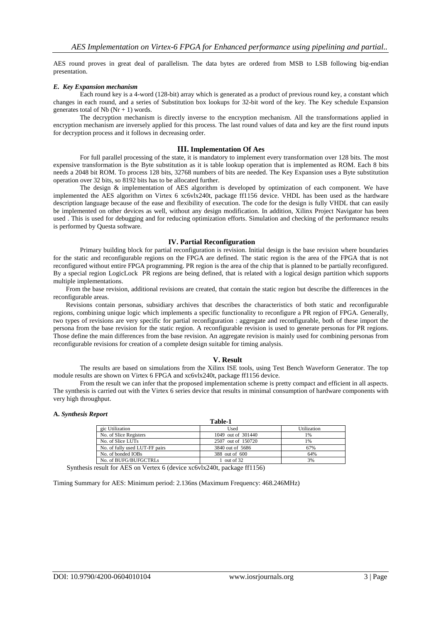AES round proves in great deal of parallelism. The data bytes are ordered from MSB to LSB following big-endian presentation.

#### *E. Key Expansion mechanism*

Each round key is a 4-word (128-bit) array which is generated as a product of previous round key, a constant which changes in each round, and a series of Substitution box lookups for 32-bit word of the key. The Key schedule Expansion generates total of Nb  $(Nr + 1)$  words.

The decryption mechanism is directly inverse to the encryption mechanism. All the transformations applied in encryption mechanism are inversely applied for this process. The last round values of data and key are the first round inputs for decryption process and it follows in decreasing order.

#### **III. Implementation Of Aes**

For full parallel processing of the state, it is mandatory to implement every transformation over 128 bits. The most expensive transformation is the Byte substitution as it is table lookup operation that is implemented as ROM. Each 8 bits needs a 2048 bit ROM. To process 128 bits, 32768 numbers of bits are needed. The Key Expansion uses a Byte substitution operation over 32 bits, so 8192 bits has to be allocated further.

The design & implementation of AES algorithm is developed by optimization of each component. We have implemented the AES algorithm on Virtex 6 xc6vlx240t, package ff1156 device. VHDL has been used as the hardware description language because of the ease and flexibility of execution. The code for the design is fully VHDL that can easily be implemented on other devices as well, without any design modification. In addition, Xilinx Project Navigator has been used . This is used for debugging and for reducing optimization efforts. Simulation and checking of the performance results is performed by Questa software.

#### **IV. Partial Reconfiguration**

Primary building block for partial reconfiguration is revision. Initial design is the base revision where boundaries for the static and reconfigurable regions on the FPGA are defined. The static region is the area of the FPGA that is not reconfigured without entire FPGA programming. PR region is the area of the chip that is planned to be partially reconfigured. By a special [region](http://quartushelp.altera.com/14.0/mergedProjects/reference/glossary/def_logiclock_reg.htm) LogicLock PR regions are being defined, that is related with a logical [design partition](http://quartushelp.altera.com/14.0/mergedProjects/comp/increment/comp_view_qid.htm) which supports multiple implementations.

From the base revision, additional revisions are created, that contain the static region but describe the differences in the reconfigurable areas.

Revisions contain personas, subsidiary archives that describes the characteristics of both static and reconfigurable regions, combining unique logic which implements a specific functionality to reconfigure a PR region of FPGA. Generally, two types of revisions are very specific for partial reconfiguration : aggregate and reconfigurable, both of these import the persona from the base revision for the static region. A reconfigurable revision is used to generate personas for PR regions. Those define the main differences from the base revision. An aggregate revision is mainly used for combining personas from reconfigurable revisions for creation of a complete design suitable for [timing analysis.](http://quartushelp.altera.com/14.0/mergedProjects/analyze/sta/sta_about_sta.htm)

#### **V. Result**

The results are based on simulations from the Xilinx ISE tools, using Test Bench Waveform Generator. The top module results are shown on Virtex 6 FPGA and xc6vlx240t, package ff1156 device.

From the result we can infer that the proposed implementation scheme is pretty compact and efficient in all aspects. The synthesis is carried out with the Virtex 6 series device that results in minimal consumption of hardware components with very high throughput.

# **A.** *Synthesis Report*

| Table-1                        |                    |             |  |
|--------------------------------|--------------------|-------------|--|
| gic Utilization                | Used               | Utilization |  |
| No. of Slice Registers         | 1049 out of 301440 | 1%          |  |
| No. of Slice LUTs              | 2507 out of 150720 | 1%          |  |
| No. of fully used LUT-FF pairs | 3840 out of 5686   | 67%         |  |
| No. of bonded IOBs             | 388 out of 600     | 64%         |  |
| No. of BUFG/BUFGCTRLs          | out of $32$        | 3%          |  |
|                                |                    |             |  |

Synthesis result for AES on Vertex 6 (device xc6vlx240t, package ff1156)

Timing Summary for AES: Minimum period: 2.136ns (Maximum Frequency: 468.246MHz)